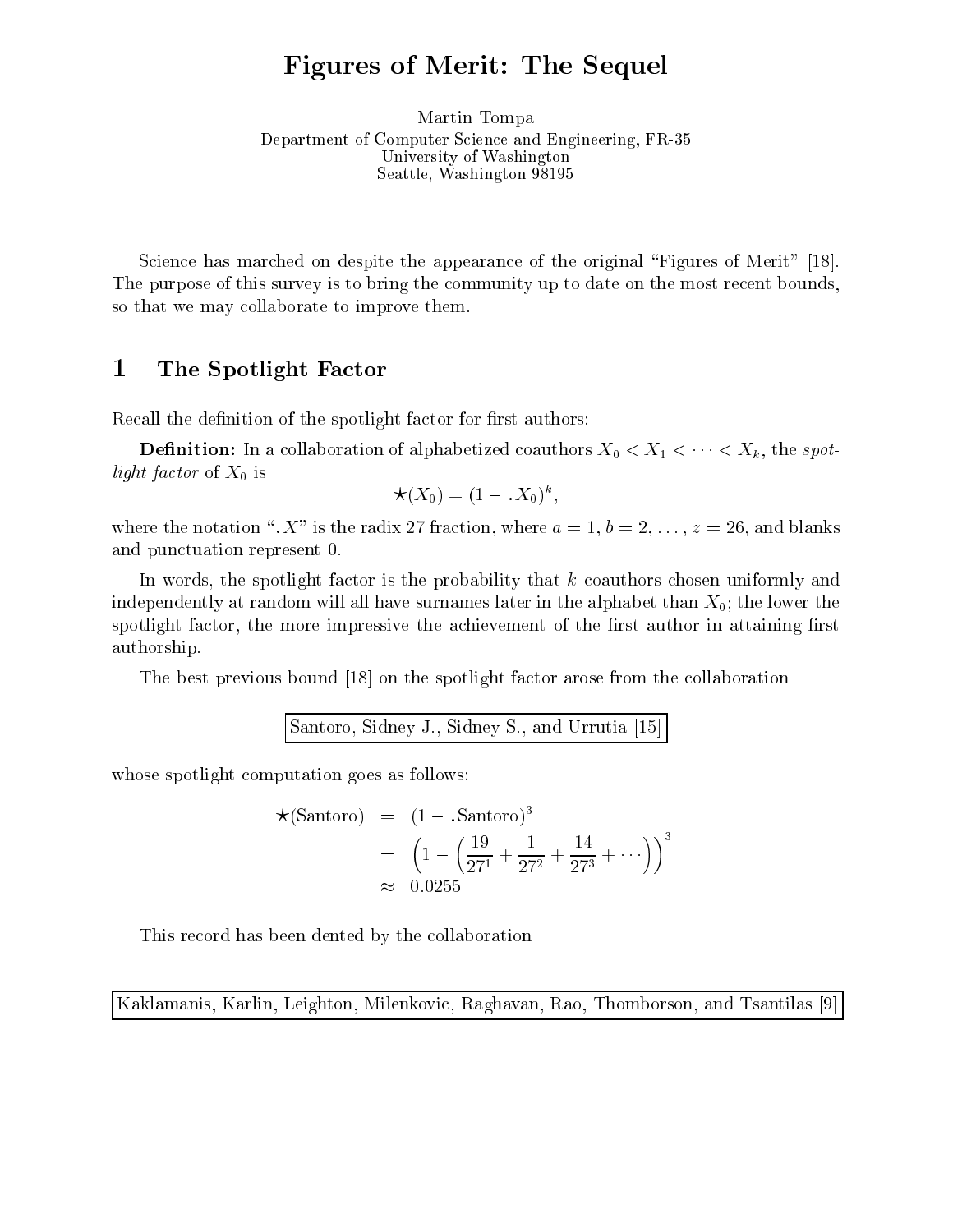# Figures of Merit: The Sequel

Martin Tompa Department of Computer S
ien
e and Engineering, FR-35 University of Washington Seattle, Washington <sup>98195</sup>

Science has marched on despite the appearance of the original "Figures of Merit" [18]. The purpose of this survey is to bring the community up to date on the most recent bounds, so that we may ollaborate to improve them.

#### 1The Spotlight Factor

Recall the definition of the spotlight factor for first authors:

**Definition:** In a collaboration of alphabetized coauthors  $X_0 \lt X_1 \lt \cdots \lt X_k$ , the spotlight factor of  $X_0$  is

$$
\star(X_0)=(1-.X_0)^k
$$

where the notation " $X$ " is the radix 27 fraction, where  $a = 1, b = 2, \ldots, z = 26$ , and blanks and punctuation represent 0.

In words, the spotlight factor is the probability that  $k$  coauthors chosen uniformly and independently at random will all have surnames later in the alphabet than  $X_0$ ; the lower the spotlight factor, the more impressive the achievement of the first author in attaining first authorship.

The best previous bound [18] on the spotlight factor arose from the collaboration

Santoro, Sidney J., Sidney S., and Urrutia [15]

whose spotlight computation goes as follows:

$$
\star(\text{Santoro}) = (1 - \text{.Santoro})^3
$$
  
=  $\left(1 - \left(\frac{19}{27^1} + \frac{1}{27^2} + \frac{14}{27^3} + \cdots\right)\right)^3$   
 $\approx 0.0255$ 

This re
ord has been dented by the ollaboration

Kaklamanis, Karlin, Leighton, Milenkovic, Raghavan, Rao, Thomborson, and Tsantilas [9]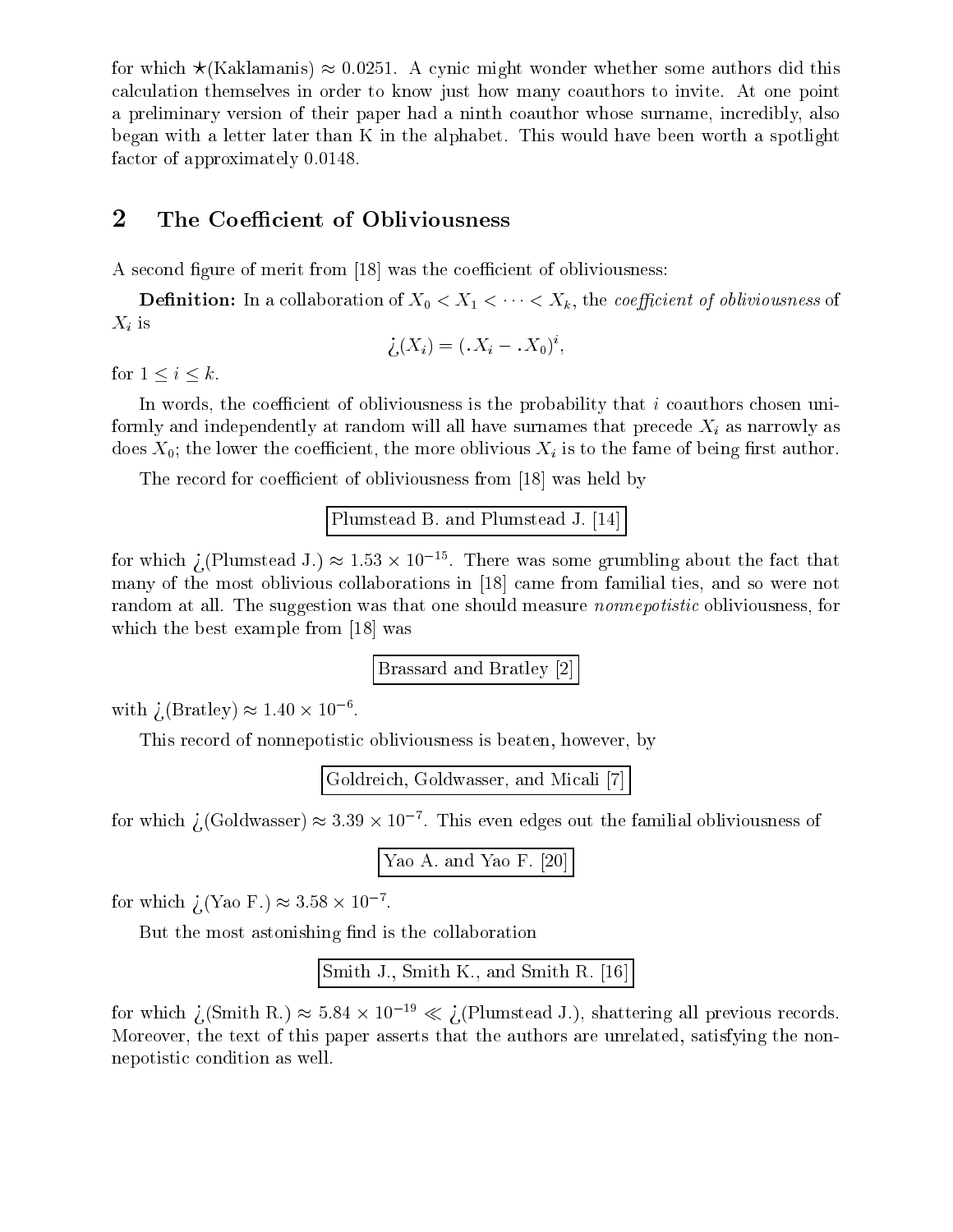for which  $\star$ (Kaklamanis)  $\approx 0.0251$ . A cynic might wonder whether some authors did this al
ulation themselves in order to know just how many oauthors to invite. At one point a preliminary version of their paper had a ninth coauthor whose surname, incredibly, also began with a letter later than K in the alphabet. This would have been worth a spotlight factor of approximately 0.0148.

### 2The Coefficient of Obliviousness

A second figure of merit from [18] was the coefficient of obliviousness:

**Definition:** In a collaboration of  $X_0 < X_1 < \cdots < X_k$ , the *coefficient of obliviousness* of  $X_i$  is

$$
\dot{\zeta}(X_i) = (X_i - X_0)^i,
$$

for  $1 \leq i \leq k$ .

In words, the coefficient of obliviousness is the probability that i coauthors chosen uniformly and independently at random will all have surnames that precede  $X_i$  as narrowly as does  $X_0$ ; the lower the coefficient, the more oblivious  $X_i$  is to the fame of being first author.

The record for coefficient of obliviousness from [18] was held by

```
Plumstead B. and Plumstead J. [14]
```
for which  $/$  (Plumstead J.)  $\approx$  1.53  $\times$  10  $^{-1}$  . There was some grumbling about the fact that many of the most oblivious collaborations in [18] came from familial ties, and so were not random at all. The suggestion was that one should measure *nonnepotistic* obliviousness, for which the best example from [18] was

Brassard and Bratley [2]

with  $/$  (Bratley)  $\approx$  1.40  $\times$  10  $^{-1}$ .

This record of nonnepotistic obliviousness is beaten, however, by

Goldreich, Goldwasser, and Micali [7]

for which  $\chi$  (Goldwasser)  $\approx$  3.39  $\times$  10  $^{-1}$  . This even edges out the familial obliviousness of

```
Yao A. and Yao F. [20]
```
 $\rm{for~~wmin}$  /(Yao F.)  $\approx$  5.58  $\times$  10  $^{-1}$  .

But the most astonishing find is the collaboration

```
Smith J., Smith K., and Smith R. [16]
```
for which  $\chi$  (Smith R.)  $\approx$  5.84  $\times$  10  $\gamma$   $\ll$   $\chi$  (Plumstead J.), shattering all previous records. Moreover, the text of this paper asserts that the authors are unrelated, satisfying the nonnepotistic condition as well.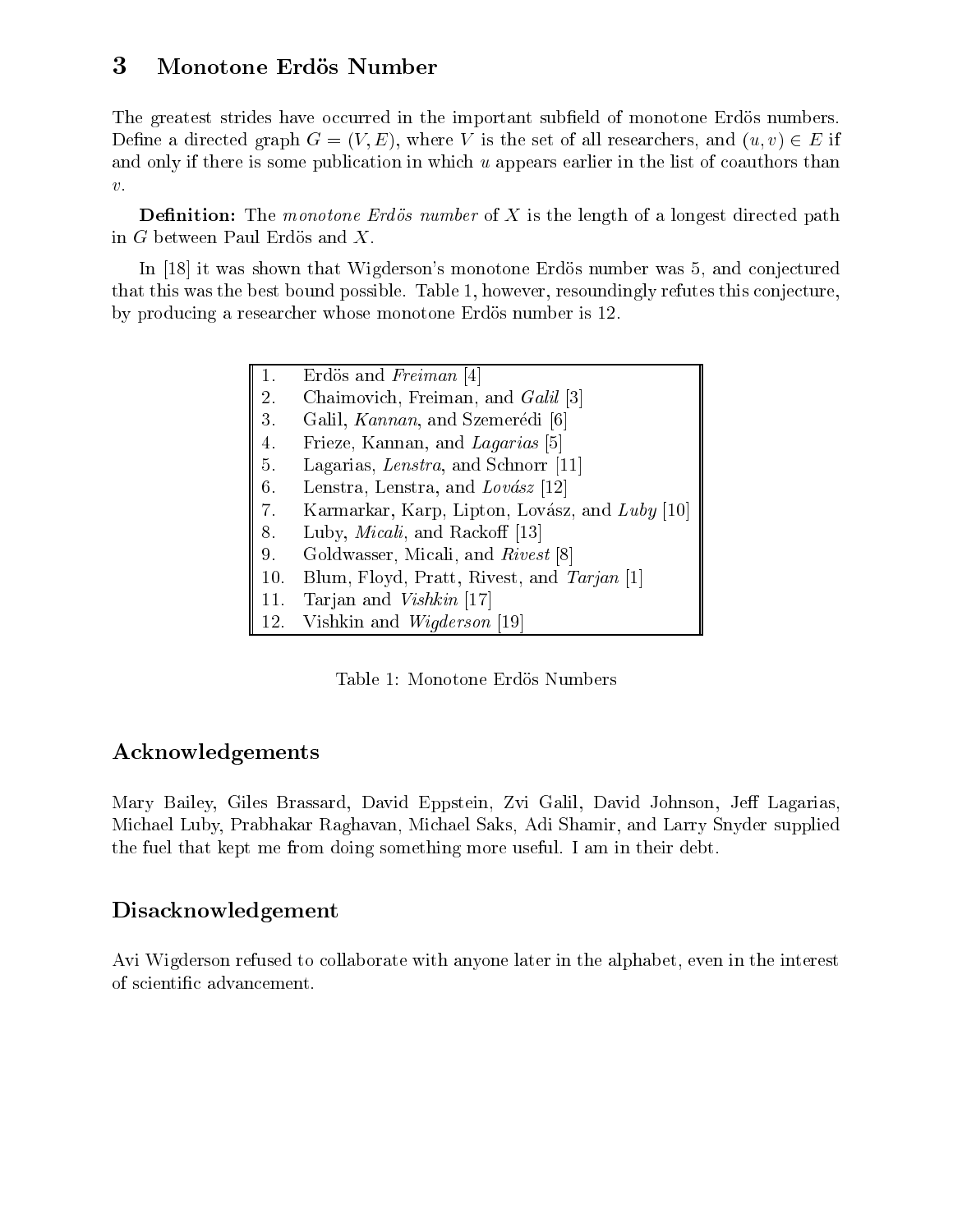### 3Monotone Erdös Number

The greatest strides have occurred in the important subfield of monotone Erdös numbers. Define a directed graph  $G = (V, E)$ , where V is the set of all researchers, and  $(u, v) \in E$  if and only if there is some publication in which  $u$  appears earlier in the list of coauthors than  $\upsilon.$ 

**Definition:** The monotone Erdös number of X is the length of a longest directed path in G between Paul Erdös and  $X$ .

In [18] it was shown that Wigderson's monotone Erdös number was 5, and conjectured that this was the best bound possible. Table 1, however, resoundingly refutes this conjecture, by producing a researcher whose monotone Erdös number is 12.

| 1.  | Erdös and Freiman [4]                          |
|-----|------------------------------------------------|
| 2.  | Chaimovich, Freiman, and <i>Galil</i> [3]      |
| 3.  | Galil, Kannan, and Szemerédi [6]               |
| 4.  | Frieze, Kannan, and Lagarias [5]               |
| 5.  | Lagarias, Lenstra, and Schnorr [11]            |
| 6.  | Lenstra, Lenstra, and Lovász [12]              |
| 7.  | Karmarkar, Karp, Lipton, Lovász, and Luby [10] |
| 8.  | Luby, <i>Micali</i> , and Rackoff [13]         |
| 9.  | Goldwasser, Micali, and Rivest [8]             |
| 10. | Blum, Floyd, Pratt, Rivest, and Tarjan [1]     |
| 11. | Tarjan and Vishkin [17]                        |
| 12. | Vishkin and <i>Wigderson</i> [19]              |

Table 1: Monotone Erdös Numbers

### A
knowledgements

Mary Bailey, Giles Brassard, David Eppstein, Zvi Galil, David Johnson, Jeff Lagarias, Mi
hael Luby, Prabhakar Raghavan, Mi
hael Saks, Adi Shamir, and Larry Snyder supplied the fuel that kept me from doing something more useful. I am in their debt.

## Disa
knowledgement

Avi Wigderson refused to ollaborate with anyone later in the alphabet, even in the interest of s
ienti advan
ement.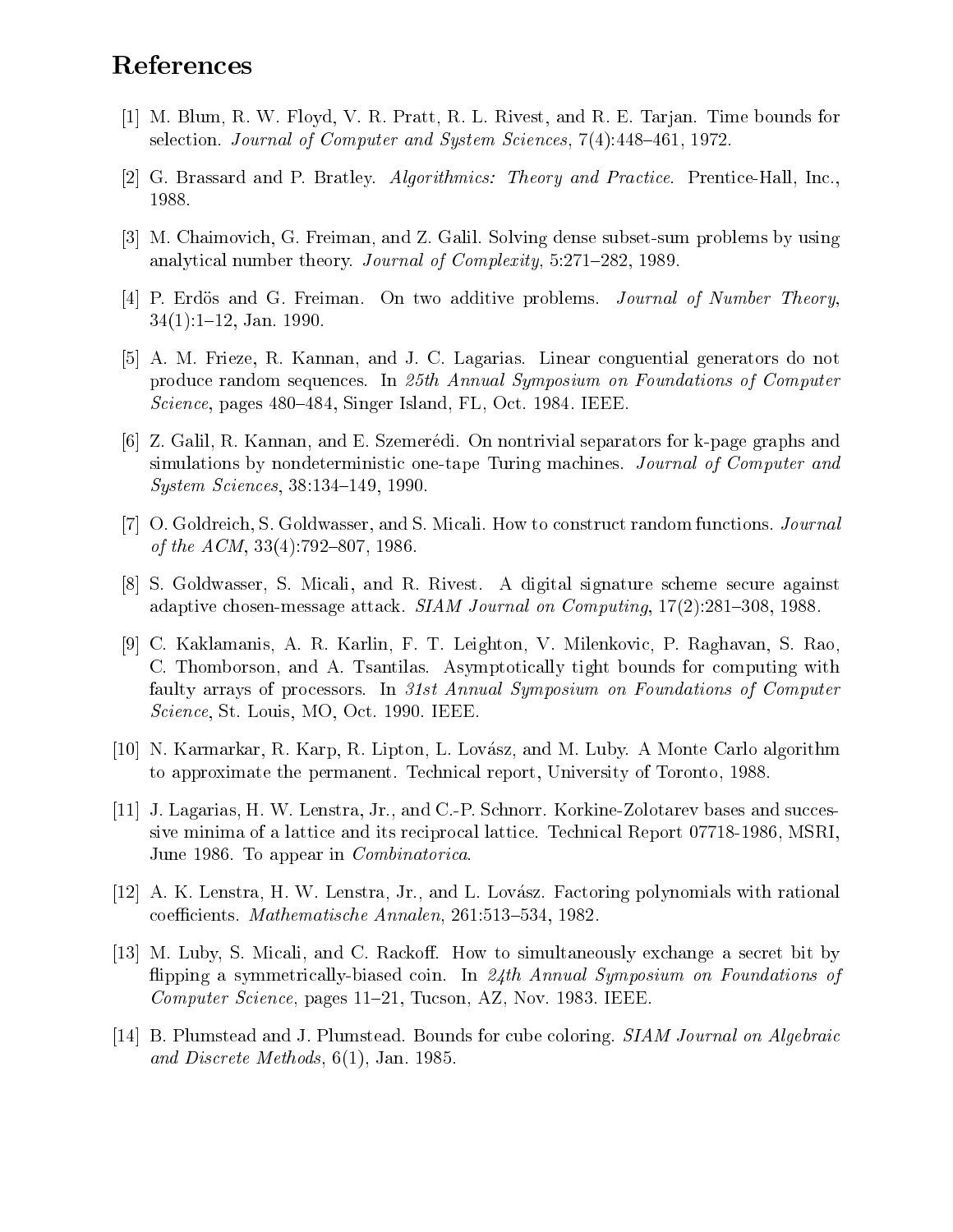# References

- [1] M. Blum, R. W. Floyd, V. R. Pratt, R. L. Rivest, and R. E. Tarjan. Time bounds for selection. Journal of Computer and System Sciences, 7(4):448–461, 1972.
- [2] G. Brassard and P. Bratley. Algorithmics: Theory and Practice. Prentice-Hall, Inc., 1988.
- [3] M. Chaimovich, G. Freiman, and Z. Galil. Solving dense subset-sum problems by using analytical number theory. Journal of Complexity, 5:271-282, 1989.
- [4] P. Erdös and G. Freiman. On two additive problems. Journal of Number Theory,  $34(1):1-12$ , Jan. 1990.
- [5] A. M. Frieze, R. Kannan, and J. C. Lagarias. Linear conguential generators do not produce random sequences. In 25th Annual Symposium on Foundations of Computer *Science*, pages 480–484, Singer Island, FL, Oct. 1984. IEEE.
- [6] Z. Galil, R. Kannan, and E. Szemerédi. On nontrivial separators for k-page graphs and simulations by nondeterministic one-tape Turing machines. Journal of Computer and *System Sciences*, 38:134-149, 1990.
- [7] O. Goldreich, S. Goldwasser, and S. Micali. How to construct random functions. *Journal* of the ACM, 33(4):792-807, 1986.
- [8] S. Goldwasser, S. Micali, and R. Rivest. A digital signature scheme secure against adaptive chosen-message attack. SIAM Journal on Computing, 17(2):281-308, 1988.
- [9] C. Kaklamanis, A. R. Karlin, F. T. Leighton, V. Milenkovic, P. Raghavan, S. Rao. C. Thomborson, and A. Tsantilas. Asymptotically tight bounds for computing with faulty arrays of processors. In 31st Annual Symposium on Foundations of Computer *Science*, St. Louis, MO, Oct. 1990. IEEE.
- [10] N. Karmarkar, R. Karp, R. Lipton, L. Lovász, and M. Luby. A Monte Carlo algorithm to approximate the permanent. Technical report, University of Toronto, 1988.
- [11] J. Lagarias, H. W. Lenstra, Jr., and C.-P. Schnorr. Korkine-Zolotarev bases and successive minima of a lattice and its reciprocal lattice. Technical Report 07718-1986, MSRI. June 1986. To appear in *Combinatorica*.
- [12] A. K. Lenstra, H. W. Lenstra, Jr., and L. Lovász. Factoring polynomials with rational coefficients. Mathematische Annalen, 261:513-534, 1982.
- [13] M. Luby, S. Micali, and C. Rackoff. How to simultaneously exchange a secret bit by flipping a symmetrically-biased coin. In 24th Annual Symposium on Foundations of *Computer Science*, pages 11–21, Tucson, AZ, Nov. 1983. IEEE.
- [14] B. Plumstead and J. Plumstead. Bounds for cube coloring. *SIAM Journal on Algebraic* and Discrete Methods,  $6(1)$ , Jan. 1985.